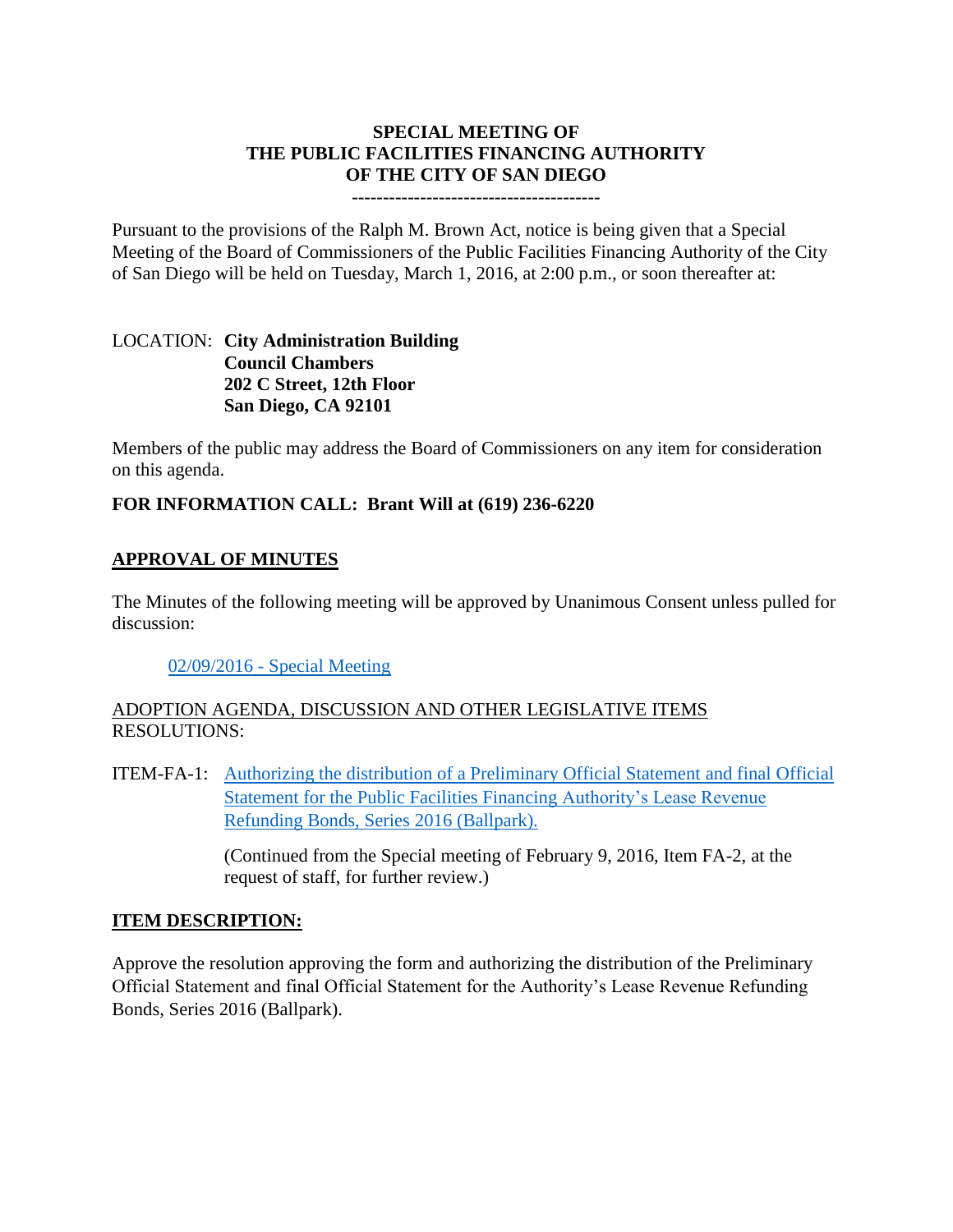## **SPECIAL MEETING OF THE PUBLIC FACILITIES FINANCING AUTHORITY OF THE CITY OF SAN DIEGO**

#### **----------------------------------------**

Pursuant to the provisions of the Ralph M. Brown Act, notice is being given that a Special Meeting of the Board of Commissioners of the Public Facilities Financing Authority of the City of San Diego will be held on Tuesday, March 1, 2016, at 2:00 p.m., or soon thereafter at:

### LOCATION: **City Administration Building Council Chambers 202 C Street, 12th Floor San Diego, CA 92101**

Members of the public may address the Board of Commissioners on any item for consideration on this agenda.

## **FOR INFORMATION CALL: Brant Will at (619) 236-6220**

## **APPROVAL OF MINUTES**

The Minutes of the following meeting will be approved by Unanimous Consent unless pulled for discussion:

#### 02/09/2016 - [Special Meeting](http://www.sandiego.gov/sites/default/files/pffa_-_minutes.pdf)

## ADOPTION AGENDA, DISCUSSION AND OTHER LEGISLATIVE ITEMS RESOLUTIONS:

ITEM-FA-1: [Authorizing the distribution of a Preliminary Official Statement](http://www.sandiego.gov/sites/default/files/fa-1.pdf) and final Official Statement [for the Public Facilities Financing Authority's Lease Revenue](http://www.sandiego.gov/sites/default/files/fa-1.pdf)  [Refunding Bonds, Series 2016 \(Ballpark\).](http://www.sandiego.gov/sites/default/files/fa-1.pdf)

> (Continued from the Special meeting of February 9, 2016, Item FA-2, at the request of staff, for further review.)

#### **ITEM DESCRIPTION:**

Approve the resolution approving the form and authorizing the distribution of the Preliminary Official Statement and final Official Statement for the Authority's Lease Revenue Refunding Bonds, Series 2016 (Ballpark).